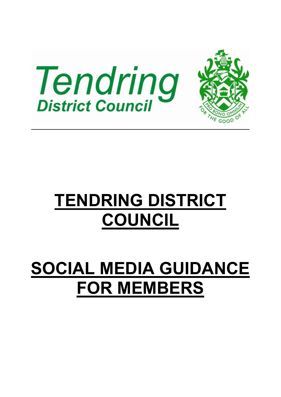

# **TENDRING DISTRICT COUNCIL**

# **SOCIAL MEDIA GUIDANCE FOR MEMBERS**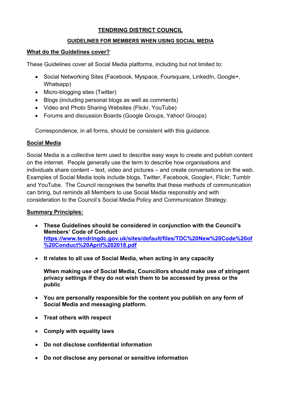#### **TENDRING DISTRICT COUNCIL**

#### **GUIDELINES FOR MEMBERS WHEN USING SOCIAL MEDIA**

#### **What do the Guidelines cover?**

These Guidelines cover all Social Media platforms, including but not limited to:

- Social Networking Sites (Facebook, Myspace, Foursquare, LinkedIn, Google+, Whatsapp)
- Micro-blogging sites (Twitter)
- Blogs (including personal blogs as well as comments)
- Video and Photo Sharing Websites (Flickr, YouTube)
- Forums and discussion Boards (Google Groups, Yahoo! Groups)

Correspondence, in all forms, should be consistent with this guidance.

### **Social Media**

Social Media is a collective term used to describe easy ways to create and publish content on the internet. People generally use the term to describe how organisations and individuals share content – text, video and pictures – and create conversations on the web. Examples of Social Media tools include blogs, Twitter, Facebook, Google+, Flickr, Tumblr and YouTube. The Council recognises the benefits that these methods of communication can bring, but reminds all Members to use Social Media responsibly and with consideration to the Council's Social Media Policy and Communication Strategy.

## **Summary Principles:**

- **These Guidelines should be considered in conjunction with the Council's Members' Code of Conduct [https://www.tendringdc.gov.uk/sites/default/files/TDC%20New%20Code%20of](https://www.tendringdc.gov.uk/sites/default/files/TDC%20New%20Code%20of%20Conduct%20April%202018.pdf) [%20Conduct%20April%202018.pdf](https://www.tendringdc.gov.uk/sites/default/files/TDC%20New%20Code%20of%20Conduct%20April%202018.pdf)**
- **It relates to all use of Social Media, when acting in any capacity**

**When making use of Social Media, Councillors should make use of stringent privacy settings if they do not wish them to be accessed by press or the public** 

- **You are personally responsible for the content you publish on any form of Social Media and messaging platform.**
- **Treat others with respect**
- **Comply with equality laws**
- **Do not disclose confidential information**
- **Do not disclose any personal or sensitive information**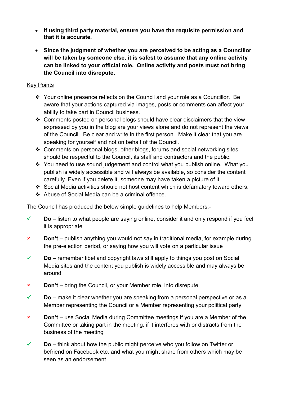- **If using third party material, ensure you have the requisite permission and that it is accurate.**
- **Since the judgment of whether you are perceived to be acting as a Councillor will be taken by someone else, it is safest to assume that any online activity can be linked to your official role. Online activity and posts must not bring the Council into disrepute.**

#### Key Points

- Your online presence reflects on the Council and your role as a Councillor. Be aware that your actions captured via images, posts or comments can affect your ability to take part in Council business.
- Comments posted on personal blogs should have clear disclaimers that the view expressed by you in the blog are your views alone and do not represent the views of the Council. Be clear and write in the first person. Make it clear that you are speaking for yourself and not on behalf of the Council.
- Comments on personal blogs, other blogs, forums and social networking sites should be respectful to the Council, its staff and contractors and the public.
- \* You need to use sound judgement and control what you publish online. What you publish is widely accessible and will always be available, so consider the content carefully. Even if you delete it, someone may have taken a picture of it.
- Social Media activities should not host content which is defamatory toward others.
- Abuse of Social Media can be a criminal offence.

The Council has produced the below simple guidelines to help Members:-

- $\checkmark$  **Do** listen to what people are saying online, consider it and only respond if you feel it is appropriate
- **Don't** publish anything you would not say in traditional media, for example during the pre-election period, or saying how you will vote on a particular issue
- **Do** remember libel and copyright laws still apply to things you post on Social Media sites and the content you publish is widely accessible and may always be around
- **Don't** bring the Council, or your Member role, into disrepute
- **Do** make it clear whether you are speaking from a personal perspective or as a Member representing the Council or a Member representing your political party
- **Don't** use Social Media during Committee meetings if you are a Member of the Committee or taking part in the meeting, if it interferes with or distracts from the business of the meeting
- $\checkmark$  **Do** think about how the public might perceive who you follow on Twitter or befriend on Facebook etc. and what you might share from others which may be seen as an endorsement